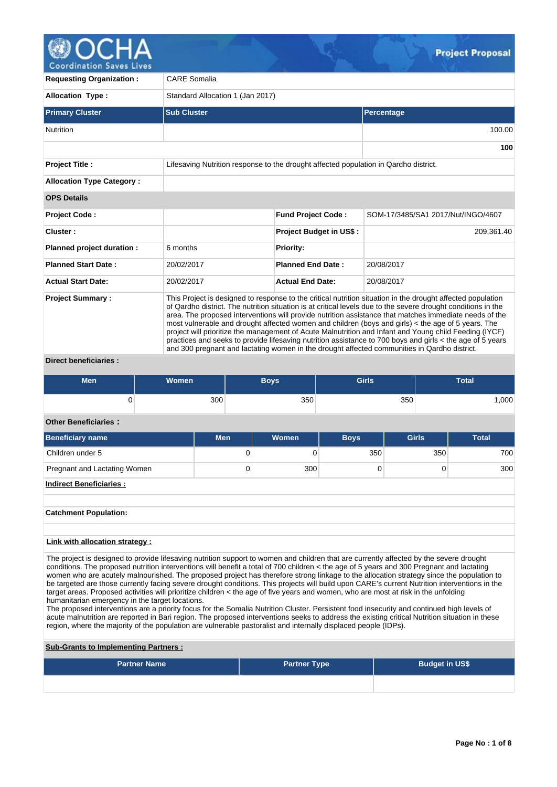

**Coordination Saves Lives** 

| <b>Requesting Organization:</b>  | <b>CARE Somalia</b>                                                                                                                                                                                                                                                                                                                                                                                                                                                                                                                                                                                                                                                                                                                                                 |                                                                                      |                                    |  |  |  |  |  |  |
|----------------------------------|---------------------------------------------------------------------------------------------------------------------------------------------------------------------------------------------------------------------------------------------------------------------------------------------------------------------------------------------------------------------------------------------------------------------------------------------------------------------------------------------------------------------------------------------------------------------------------------------------------------------------------------------------------------------------------------------------------------------------------------------------------------------|--------------------------------------------------------------------------------------|------------------------------------|--|--|--|--|--|--|
| <b>Allocation Type:</b>          |                                                                                                                                                                                                                                                                                                                                                                                                                                                                                                                                                                                                                                                                                                                                                                     | Standard Allocation 1 (Jan 2017)                                                     |                                    |  |  |  |  |  |  |
| <b>Primary Cluster</b>           | <b>Sub Cluster</b>                                                                                                                                                                                                                                                                                                                                                                                                                                                                                                                                                                                                                                                                                                                                                  |                                                                                      | <b>Percentage</b>                  |  |  |  |  |  |  |
| <b>Nutrition</b>                 |                                                                                                                                                                                                                                                                                                                                                                                                                                                                                                                                                                                                                                                                                                                                                                     |                                                                                      | 100.00                             |  |  |  |  |  |  |
|                                  |                                                                                                                                                                                                                                                                                                                                                                                                                                                                                                                                                                                                                                                                                                                                                                     |                                                                                      | 100                                |  |  |  |  |  |  |
| <b>Project Title:</b>            |                                                                                                                                                                                                                                                                                                                                                                                                                                                                                                                                                                                                                                                                                                                                                                     | Lifesaving Nutrition response to the drought affected population in Qardho district. |                                    |  |  |  |  |  |  |
| <b>Allocation Type Category:</b> |                                                                                                                                                                                                                                                                                                                                                                                                                                                                                                                                                                                                                                                                                                                                                                     |                                                                                      |                                    |  |  |  |  |  |  |
| <b>OPS Details</b>               |                                                                                                                                                                                                                                                                                                                                                                                                                                                                                                                                                                                                                                                                                                                                                                     |                                                                                      |                                    |  |  |  |  |  |  |
| <b>Project Code:</b>             |                                                                                                                                                                                                                                                                                                                                                                                                                                                                                                                                                                                                                                                                                                                                                                     | <b>Fund Project Code:</b>                                                            | SOM-17/3485/SA1 2017/Nut/INGO/4607 |  |  |  |  |  |  |
| Cluster:                         |                                                                                                                                                                                                                                                                                                                                                                                                                                                                                                                                                                                                                                                                                                                                                                     | <b>Project Budget in US\$:</b>                                                       | 209,361.40                         |  |  |  |  |  |  |
| Planned project duration :       | 6 months                                                                                                                                                                                                                                                                                                                                                                                                                                                                                                                                                                                                                                                                                                                                                            | <b>Priority:</b>                                                                     |                                    |  |  |  |  |  |  |
| <b>Planned Start Date:</b>       | 20/02/2017                                                                                                                                                                                                                                                                                                                                                                                                                                                                                                                                                                                                                                                                                                                                                          | <b>Planned End Date:</b>                                                             | 20/08/2017                         |  |  |  |  |  |  |
| <b>Actual Start Date:</b>        | 20/02/2017                                                                                                                                                                                                                                                                                                                                                                                                                                                                                                                                                                                                                                                                                                                                                          | <b>Actual End Date:</b>                                                              | 20/08/2017                         |  |  |  |  |  |  |
| <b>Project Summary:</b><br>.     | This Project is designed to response to the critical nutrition situation in the drought affected population<br>of Qardho district. The nutrition situation is at critical levels due to the severe drought conditions in the<br>area. The proposed interventions will provide nutrition assistance that matches immediate needs of the<br>most vulnerable and drought affected women and children (boys and girls) < the age of 5 years. The<br>project will prioritize the management of Acute Malnutrition and Infant and Young child Feeding (IYCF)<br>practices and seeks to provide lifesaving nutrition assistance to 700 boys and girls < the age of 5 years<br>and 300 pregnant and lactating women in the drought affected communities in Qardho district. |                                                                                      |                                    |  |  |  |  |  |  |

## **Direct beneficiaries :**

| Men | <b>Women</b> | <b>Boys</b> | <b>Girls</b> |      |
|-----|--------------|-------------|--------------|------|
|     | 300          | 350         | 350          | ,000 |

## **Other Beneficiaries :**

| Beneficiary name             | <b>Men</b> | <b>Women</b> | <b>Boys</b> | <b>Girls</b> | Total |
|------------------------------|------------|--------------|-------------|--------------|-------|
| Children under 5             | 0          |              | 350         | 350          | 700   |
| Pregnant and Lactating Women | 0          | 300          |             |              | 300   |
| Indirect Beneficiaries:      |            |              |             |              |       |

# **Catchment Population:**

# **Link with allocation strategy :**

The project is designed to provide lifesaving nutrition support to women and children that are currently affected by the severe drought conditions. The proposed nutrition interventions will benefit a total of 700 children < the age of 5 years and 300 Pregnant and lactating women who are acutely malnourished. The proposed project has therefore strong linkage to the allocation strategy since the population to be targeted are those currently facing severe drought conditions. This projects will build upon CARE's current Nutrition interventions in the target areas. Proposed activities will prioritize children < the age of five years and women, who are most at risk in the unfolding humanitarian emergency in the target locations.

The proposed interventions are a priority focus for the Somalia Nutrition Cluster. Persistent food insecurity and continued high levels of acute malnutrition are reported in Bari region. The proposed interventions seeks to address the existing critical Nutrition situation in these region, where the majority of the population are vulnerable pastoralist and internally displaced people (IDPs).

## **Sub-Grants to Implementing Partners :**

| <b>Partner Name</b> | <b>Partner Type</b> | <b>Budget in US\$</b> |  |  |  |  |  |
|---------------------|---------------------|-----------------------|--|--|--|--|--|
|                     |                     |                       |  |  |  |  |  |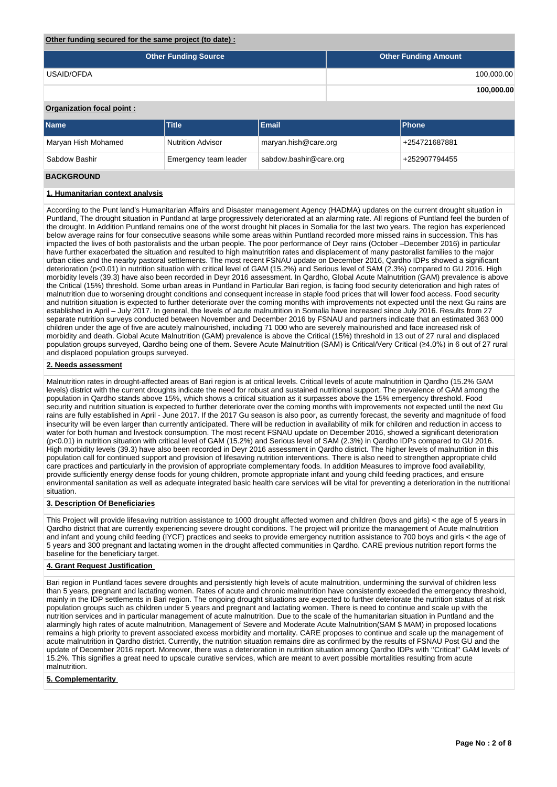## **Other funding secured for the same project (to date) :**

| <b>Other Funding Source</b> | <b>Other Funding Amount</b> |
|-----------------------------|-----------------------------|
| USAID/OFDA                  | 100,000.00                  |
|                             | 100,000.00                  |

## **Organization focal point :**

| <b>Name</b>                                                      | <b>Title</b>             | <b>Phone</b>         |               |
|------------------------------------------------------------------|--------------------------|----------------------|---------------|
| Maryan Hish Mohamed                                              | <b>Nutrition Advisor</b> | maryan.hish@care.org | +254721687881 |
| sabdow.bashir@care.org<br>Sabdow Bashir<br>Emergency team leader |                          |                      | +252907794455 |

## **BACKGROUND**

## **1. Humanitarian context analysis**

According to the Punt land's Humanitarian Affairs and Disaster management Agency (HADMA) updates on the current drought situation in Puntland, The drought situation in Puntland at large progressively deteriorated at an alarming rate. All regions of Puntland feel the burden of the drought. In Addition Puntland remains one of the worst drought hit places in Somalia for the last two years. The region has experienced below average rains for four consecutive seasons while some areas within Puntland recorded more missed rains in succession. This has impacted the lives of both pastoralists and the urban people. The poor performance of Deyr rains (October –December 2016) in particular have further exacerbated the situation and resulted to high malnutrition rates and displacement of many pastoralist families to the major urban cities and the nearby pastoral settlements. The most recent FSNAU update on December 2016, Qardho IDPs showed a significant deterioration (p<0.01) in nutrition situation with critical level of GAM (15.2%) and Serious level of SAM (2.3%) compared to GU 2016. High morbidity levels (39.3) have also been recorded in Deyr 2016 assessment. In Qardho, Global Acute Malnutrition (GAM) prevalence is above the Critical (15%) threshold. Some urban areas in Puntland in Particular Bari region, is facing food security deterioration and high rates of malnutrition due to worsening drought conditions and consequent increase in staple food prices that will lower food access. Food security and nutrition situation is expected to further deteriorate over the coming months with improvements not expected until the next Gu rains are established in April – July 2017. In general, the levels of acute malnutrition in Somalia have increased since July 2016. Results from 27 separate nutrition surveys conducted between November and December 2016 by FSNAU and partners indicate that an estimated 363 000 children under the age of five are acutely malnourished, including 71 000 who are severely malnourished and face increased risk of morbidity and death. Global Acute Malnutrition (GAM) prevalence is above the Critical (15%) threshold in 13 out of 27 rural and displaced population groups surveyed, Qardho being one of them. Severe Acute Malnutrition (SAM) is Critical/Very Critical (≥4.0%) in 6 out of 27 rural and displaced population groups surveyed.

## **2. Needs assessment**

Malnutrition rates in drought-affected areas of Bari region is at critical levels. Critical levels of acute malnutrition in Qardho (15.2% GAM levels) district with the current droughts indicate the need for robust and sustained nutritional support. The prevalence of GAM among the population in Qardho stands above 15%, which shows a critical situation as it surpasses above the 15% emergency threshold. Food security and nutrition situation is expected to further deteriorate over the coming months with improvements not expected until the next Gu rains are fully established in April - June 2017. If the 2017 Gu season is also poor, as currently forecast, the severity and magnitude of food insecurity will be even larger than currently anticipated. There will be reduction in availability of milk for children and reduction in access to water for both human and livestock consumption. The most recent FSNAU update on December 2016, showed a significant deterioration (p<0.01) in nutrition situation with critical level of GAM (15.2%) and Serious level of SAM (2.3%) in Qardho IDPs compared to GU 2016. High morbidity levels (39.3) have also been recorded in Deyr 2016 assessment in Qardho district. The higher levels of malnutrition in this population call for continued support and provision of lifesaving nutrition interventions. There is also need to strengthen appropriate child care practices and particularly in the provision of appropriate complementary foods. In addition Measures to improve food availability, provide sufficiently energy dense foods for young children, promote appropriate infant and young child feeding practices, and ensure environmental sanitation as well as adequate integrated basic health care services will be vital for preventing a deterioration in the nutritional situation.

## **3. Description Of Beneficiaries**

This Project will provide lifesaving nutrition assistance to 1000 drought affected women and children (boys and girls) < the age of 5 years in Qardho district that are currently experiencing severe drought conditions. The project will prioritize the management of Acute malnutrition and infant and young child feeding (IYCF) practices and seeks to provide emergency nutrition assistance to 700 boys and girls < the age of 5 years and 300 pregnant and lactating women in the drought affected communities in Qardho. CARE previous nutrition report forms the baseline for the beneficiary target.

### **4. Grant Request Justification**

Bari region in Puntland faces severe droughts and persistently high levels of acute malnutrition, undermining the survival of children less than 5 years, pregnant and lactating women. Rates of acute and chronic malnutrition have consistently exceeded the emergency threshold, mainly in the IDP settlements in Bari region. The ongoing drought situations are expected to further deteriorate the nutrition status of at risk population groups such as children under 5 years and pregnant and lactating women. There is need to continue and scale up with the nutrition services and in particular management of acute malnutrition. Due to the scale of the humanitarian situation in Puntland and the alarmingly high rates of acute malnutrition, Management of Severe and Moderate Acute Malnutrition(SAM \$ MAM) in proposed locations remains a high priority to prevent associated excess morbidity and mortality. CARE proposes to continue and scale up the management of acute malnutrition in Qardho district. Currently, the nutrition situation remains dire as confirmed by the results of FSNAU Post GU and the update of December 2016 report. Moreover, there was a deterioration in nutrition situation among Qardho IDPs with ''Critical'' GAM levels of 15.2%. This signifies a great need to upscale curative services, which are meant to avert possible mortalities resulting from acute malnutrition.

## **5. Complementarity**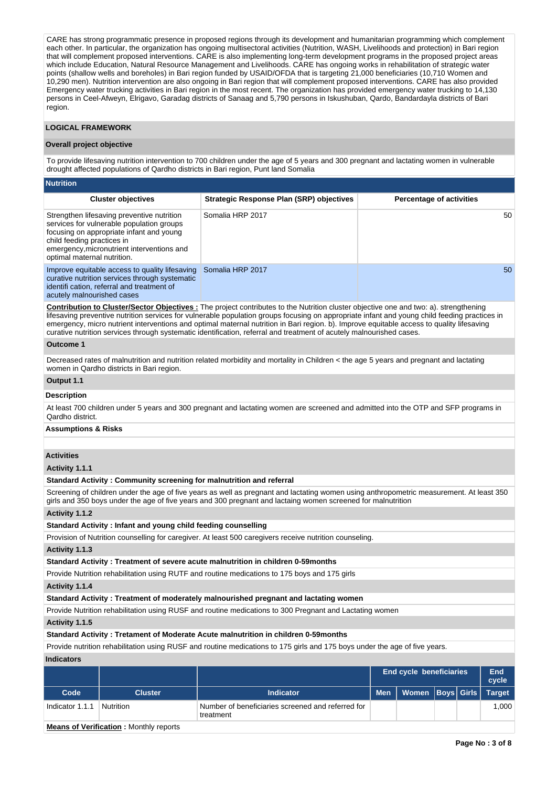CARE has strong programmatic presence in proposed regions through its development and humanitarian programming which complement each other. In particular, the organization has ongoing multisectoral activities (Nutrition, WASH, Livelihoods and protection) in Bari region that will complement proposed interventions. CARE is also implementing long-term development programs in the proposed project areas which include Education, Natural Resource Management and Livelihoods. CARE has ongoing works in rehabilitation of strategic water points (shallow wells and boreholes) in Bari region funded by USAID/OFDA that is targeting 21,000 beneficiaries (10,710 Women and 10,290 men). Nutrition intervention are also ongoing in Bari region that will complement proposed interventions. CARE has also provided Emergency water trucking activities in Bari region in the most recent. The organization has provided emergency water trucking to 14,130 persons in Ceel-Afweyn, Elrigavo, Garadag districts of Sanaag and 5,790 persons in Iskushuban, Qardo, Bandardayla districts of Bari region.

## **LOGICAL FRAMEWORK**

#### **Overall project objective**

To provide lifesaving nutrition intervention to 700 children under the age of 5 years and 300 pregnant and lactating women in vulnerable drought affected populations of Qardho districts in Bari region, Punt land Somalia

| <b>Nutrition</b>                                                                                                                                                                                                                               |                                                 |                                 |
|------------------------------------------------------------------------------------------------------------------------------------------------------------------------------------------------------------------------------------------------|-------------------------------------------------|---------------------------------|
| <b>Cluster objectives</b>                                                                                                                                                                                                                      | <b>Strategic Response Plan (SRP) objectives</b> | <b>Percentage of activities</b> |
| Strengthen lifesaving preventive nutrition<br>services for vulnerable population groups<br>focusing on appropriate infant and young<br>child feeding practices in<br>emergency, micronutrient interventions and<br>optimal maternal nutrition. | Somalia HRP 2017                                | 50                              |
| Improve equitable access to quality lifesaving<br>curative nutrition services through systematic<br>identifi cation, referral and treatment of<br>acutely malnourished cases                                                                   | Somalia HRP 2017                                | 50 <sup>°</sup>                 |

**Contribution to Cluster/Sector Objectives :** The project contributes to the Nutrition cluster objective one and two: a). strengthening lifesaving preventive nutrition services for vulnerable population groups focusing on appropriate infant and young child feeding practices in emergency, micro nutrient interventions and optimal maternal nutrition in Bari region. b). Improve equitable access to quality lifesaving curative nutrition services through systematic identification, referral and treatment of acutely malnourished cases.

## **Outcome 1**

Decreased rates of malnutrition and nutrition related morbidity and mortality in Children < the age 5 years and pregnant and lactating women in Qardho districts in Bari region.

## **Output 1.1**

## **Description**

At least 700 children under 5 years and 300 pregnant and lactating women are screened and admitted into the OTP and SFP programs in Qardho district.

## **Assumptions & Risks**

## **Activities**

**Activity 1.1.1** 

**Standard Activity : Community screening for malnutrition and referral**

Screening of children under the age of five years as well as pregnant and lactating women using anthropometric measurement. At least 350 girls and 350 boys under the age of five years and 300 pregnant and lactaing women screened for malnutrition

### **Activity 1.1.2**

## **Standard Activity : Infant and young child feeding counselling**

Provision of Nutrition counselling for caregiver. At least 500 caregivers receive nutrition counseling.

## **Activity 1.1.3**

**Standard Activity : Treatment of severe acute malnutrition in children 0-59months**

Provide Nutrition rehabilitation using RUTF and routine medications to 175 boys and 175 girls

**Activity 1.1.4** 

#### **Standard Activity : Treatment of moderately malnourished pregnant and lactating women**

Provide Nutrition rehabilitation using RUSF and routine medications to 300 Pregnant and Lactating women

**Activity 1.1.5** 

## **Standard Activity : Tretament of Moderate Acute malnutrition in children 0-59months**

Provide nutrition rehabilitation using RUSF and routine medications to 175 girls and 175 boys under the age of five years.

**Indicators**

|                 |                                                                                                                                                                                                                                   |                                                                | <b>End cycle beneficiaries</b> |                               |  |  | End<br>cycle |
|-----------------|-----------------------------------------------------------------------------------------------------------------------------------------------------------------------------------------------------------------------------------|----------------------------------------------------------------|--------------------------------|-------------------------------|--|--|--------------|
| Code            | <b>Cluster</b>                                                                                                                                                                                                                    | <b>Indicator</b>                                               | <b>Men</b>                     | Women   Boys   Girls   Target |  |  |              |
| Indicator 1.1.1 | Nutrition                                                                                                                                                                                                                         | Number of beneficiaries screened and referred for<br>treatment |                                |                               |  |  | 1.000        |
|                 | $\mathbf{r}$ . The set of the set of the set of the set of the set of the set of the set of the set of the set of the set of the set of the set of the set of the set of the set of the set of the set of the set of the set of t |                                                                |                                |                               |  |  |              |

**Means of Verification :** Monthly reports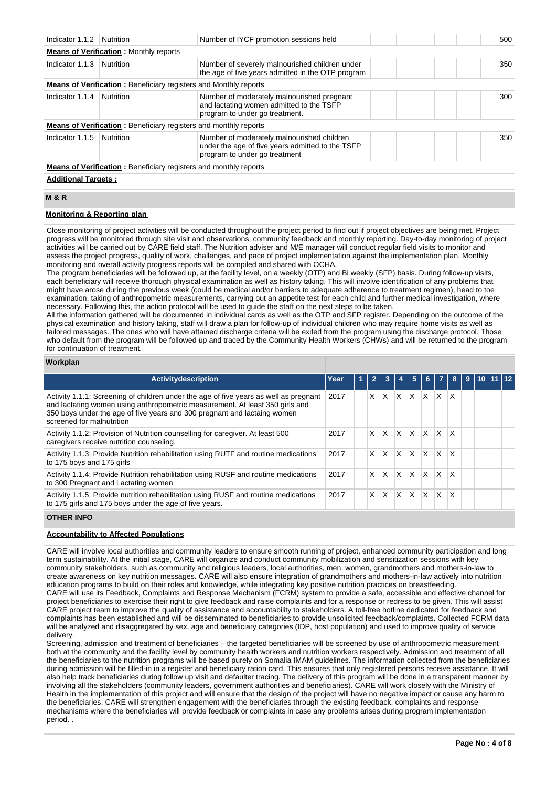| Indicator 1.1.2                                                         | Nutrition                                                               | Number of IYCF promotion sessions held                                                                                          | 500 |  |  |  |  |  |
|-------------------------------------------------------------------------|-------------------------------------------------------------------------|---------------------------------------------------------------------------------------------------------------------------------|-----|--|--|--|--|--|
| <b>Means of Verification: Monthly reports</b>                           |                                                                         |                                                                                                                                 |     |  |  |  |  |  |
| Indicator 1.1.3                                                         | Nutrition                                                               | Number of severely malnourished children under<br>the age of five years admitted in the OTP program                             | 350 |  |  |  |  |  |
|                                                                         | <b>Means of Verification:</b> Beneficiary registers and Monthly reports |                                                                                                                                 |     |  |  |  |  |  |
| Indicator 1.1.4                                                         | Nutrition                                                               | Number of moderately malnourished pregnant<br>and lactating women admitted to the TSFP<br>program to under go treatment.        | 300 |  |  |  |  |  |
|                                                                         | <b>Means of Verification:</b> Beneficiary registers and monthly reports |                                                                                                                                 |     |  |  |  |  |  |
| Indicator 1.1.5                                                         | Nutrition                                                               | Number of moderately malnourished children<br>under the age of five years admitted to the TSFP<br>program to under go treatment | 350 |  |  |  |  |  |
| <b>Means of Verification:</b> Beneficiary registers and monthly reports |                                                                         |                                                                                                                                 |     |  |  |  |  |  |
| <b>Additional Targets:</b>                                              |                                                                         |                                                                                                                                 |     |  |  |  |  |  |

## **M & R**

## **Monitoring & Reporting plan**

Close monitoring of project activities will be conducted throughout the project period to find out if project objectives are being met. Project progress will be monitored through site visit and observations, community feedback and monthly reporting. Day-to-day monitoring of project activities will be carried out by CARE field staff. The Nutrition adviser and M/E manager will conduct regular field visits to monitor and assess the project progress, quality of work, challenges, and pace of project implementation against the implementation plan. Monthly monitoring and overall activity progress reports will be compiled and shared with OCHA.

The program beneficiaries will be followed up, at the facility level, on a weekly (OTP) and Bi weekly (SFP) basis. During follow-up visits, each beneficiary will receive thorough physical examination as well as history taking. This will involve identification of any problems that might have arose during the previous week (could be medical and/or barriers to adequate adherence to treatment regimen), head to toe examination, taking of anthropometric measurements, carrying out an appetite test for each child and further medical investigation, where necessary. Following this, the action protocol will be used to guide the staff on the next steps to be taken.

All the information gathered will be documented in individual cards as well as the OTP and SFP register. Depending on the outcome of the physical examination and history taking, staff will draw a plan for follow-up of individual children who may require home visits as well as tailored messages. The ones who will have attained discharge criteria will be exited from the program using the discharge protocol. Those who default from the program will be followed up and traced by the Community Health Workers (CHWs) and will be returned to the program for continuation of treatment.

### **Workplan**

| Activitydescription                                                                                                                                                                                                                                                            | Year | $\overline{2}$ | 3            |          | -5       | 6 <sup>1</sup> | 7 <sup>8</sup>          |                         | 9 | 110111112 |  |
|--------------------------------------------------------------------------------------------------------------------------------------------------------------------------------------------------------------------------------------------------------------------------------|------|----------------|--------------|----------|----------|----------------|-------------------------|-------------------------|---|-----------|--|
| Activity 1.1.1: Screening of children under the age of five years as well as pregnant<br>and lactating women using anthropometric measurement. At least 350 girls and<br>350 boys under the age of five years and 300 pregnant and lactaing women<br>screened for malnutrition | 2017 | X.             | X.           | X.       | X.       | $\mathsf{x}$   | ΙX                      | ΙX                      |   |           |  |
| Activity 1.1.2: Provision of Nutrition counselling for caregiver. At least 500<br>caregivers receive nutrition counseling.                                                                                                                                                     | 2017 | X              | ΙX.          | IX.      | <b>X</b> | ΙX.            | $\mathsf{I} \mathsf{X}$ | ΙX                      |   |           |  |
| Activity 1.1.3: Provide Nutrition rehabilitation using RUTF and routine medications<br>to 175 boys and 175 girls                                                                                                                                                               | 2017 | X.             | <b>X</b>     | IX.      | <b>X</b> | <sup>X</sup>   | $\mathsf{I} \mathsf{X}$ | $\mathsf{I} \mathsf{X}$ |   |           |  |
| Activity 1.1.4: Provide Nutrition rehabilitation using RUSF and routine medications<br>to 300 Pregnant and Lactating women                                                                                                                                                     | 2017 | X.             | X.           | ΙX.      | <b>X</b> | ΙX.            | $\mathsf{I} \mathsf{X}$ | X                       |   |           |  |
| Activity 1.1.5: Provide nutrition rehabilitation using RUSF and routine medications<br>to 175 girls and 175 boys under the age of five years.                                                                                                                                  | 2017 | X.             | $\mathsf{X}$ | $\times$ | $\times$ | $\mathsf{x}$   | $\mathsf{I} \mathsf{X}$ | $\mathsf{I} \mathsf{X}$ |   |           |  |

## **OTHER INFO**

## **Accountability to Affected Populations**

CARE will involve local authorities and community leaders to ensure smooth running of project, enhanced community participation and long term sustainability. At the initial stage, CARE will organize and conduct community mobilization and sensitization sessions with key community stakeholders, such as community and religious leaders, local authorities, men, women, grandmothers and mothers-in-law to create awareness on key nutrition messages. CARE will also ensure integration of grandmothers and mothers-in-law actively into nutrition education programs to build on their roles and knowledge, while integrating key positive nutrition practices on breastfeeding. CARE will use its Feedback, Complaints and Response Mechanism (FCRM) system to provide a safe, accessible and effective channel for project beneficiaries to exercise their right to give feedback and raise complaints and for a response or redress to be given. This will assist CARE project team to improve the quality of assistance and accountability to stakeholders. A toll-free hotline dedicated for feedback and complaints has been established and will be disseminated to beneficiaries to provide unsolicited feedback/complaints. Collected FCRM data will be analyzed and disaggregated by sex, age and beneficiary categories (IDP, host population) and used to improve quality of service delivery.

Screening, admission and treatment of beneficiaries – the targeted beneficiaries will be screened by use of anthropometric measurement both at the community and the facility level by community health workers and nutrition workers respectively. Admission and treatment of all the beneficiaries to the nutrition programs will be based purely on Somalia IMAM guidelines. The information collected from the beneficiaries during admission will be filled-in in a register and beneficiary ration card. This ensures that only registered persons receive assistance. It will also help track beneficiaries during follow up visit and defaulter tracing. The delivery of this program will be done in a transparent manner by involving all the stakeholders (community leaders, government authorities and beneficiaries). CARE will work closely with the Ministry of Health in the implementation of this project and will ensure that the design of the project will have no negative impact or cause any harm to the beneficiaries. CARE will strengthen engagement with the beneficiaries through the existing feedback, complaints and response mechanisms where the beneficiaries will provide feedback or complaints in case any problems arises during program implementation period. .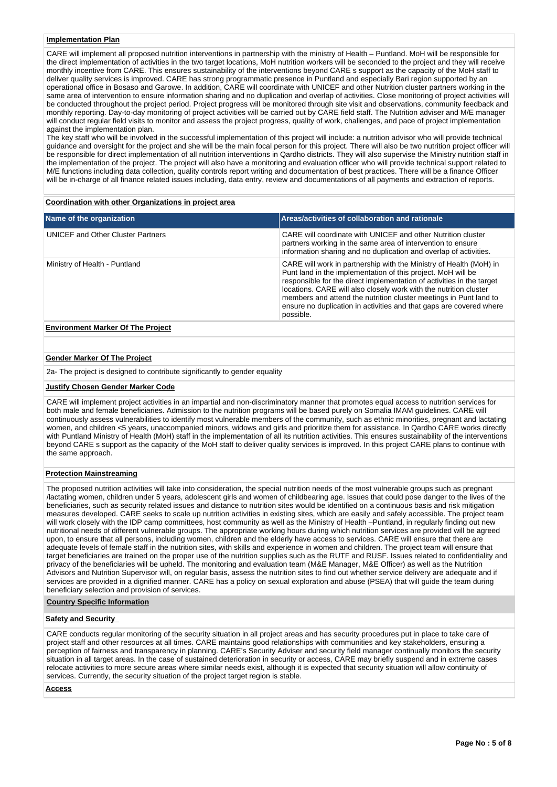#### **Implementation Plan**

CARE will implement all proposed nutrition interventions in partnership with the ministry of Health – Puntland. MoH will be responsible for the direct implementation of activities in the two target locations, MoH nutrition workers will be seconded to the project and they will receive monthly incentive from CARE. This ensures sustainability of the interventions beyond CARE s support as the capacity of the MoH staff to deliver quality services is improved. CARE has strong programmatic presence in Puntland and especially Bari region supported by an operational office in Bosaso and Garowe. In addition, CARE will coordinate with UNICEF and other Nutrition cluster partners working in the same area of intervention to ensure information sharing and no duplication and overlap of activities. Close monitoring of project activities will be conducted throughout the project period. Project progress will be monitored through site visit and observations, community feedback and monthly reporting. Day-to-day monitoring of project activities will be carried out by CARE field staff. The Nutrition adviser and M/E manager will conduct regular field visits to monitor and assess the project progress, quality of work, challenges, and pace of project implementation against the implementation plan.

The key staff who will be involved in the successful implementation of this project will include: a nutrition advisor who will provide technical guidance and oversight for the project and she will be the main focal person for this project. There will also be two nutrition project officer will be responsible for direct implementation of all nutrition interventions in Qardho districts. They will also supervise the Ministry nutrition staff in the implementation of the project. The project will also have a monitoring and evaluation officer who will provide technical support related to M/E functions including data collection, quality controls report writing and documentation of best practices. There will be a finance Officer will be in-charge of all finance related issues including, data entry, review and documentations of all payments and extraction of reports.

#### **Coordination with other Organizations in project area**

| Name of the organization                 | Areas/activities of collaboration and rationale                                                                                                                                                                                                                                                                                                                                                                                           |
|------------------------------------------|-------------------------------------------------------------------------------------------------------------------------------------------------------------------------------------------------------------------------------------------------------------------------------------------------------------------------------------------------------------------------------------------------------------------------------------------|
| <b>UNICEF and Other Cluster Partners</b> | CARE will coordinate with UNICEF and other Nutrition cluster<br>partners working in the same area of intervention to ensure<br>information sharing and no duplication and overlap of activities.                                                                                                                                                                                                                                          |
| Ministry of Health - Puntland            | CARE will work in partnership with the Ministry of Health (MoH) in<br>Punt land in the implementation of this project. MoH will be<br>responsible for the direct implementation of activities in the target<br>locations. CARE will also closely work with the nutrition cluster<br>members and attend the nutrition cluster meetings in Punt land to<br>ensure no duplication in activities and that gaps are covered where<br>possible. |
| <b>Environment Marker Of The Project</b> |                                                                                                                                                                                                                                                                                                                                                                                                                                           |

# **Gender Marker Of The Project**

2a- The project is designed to contribute significantly to gender equality

#### **Justify Chosen Gender Marker Code**

CARE will implement project activities in an impartial and non-discriminatory manner that promotes equal access to nutrition services for both male and female beneficiaries. Admission to the nutrition programs will be based purely on Somalia IMAM guidelines. CARE will continuously assess vulnerabilities to identify most vulnerable members of the community, such as ethnic minorities, pregnant and lactating women, and children <5 years, unaccompanied minors, widows and girls and prioritize them for assistance. In Qardho CARE works directly with Puntland Ministry of Health (MoH) staff in the implementation of all its nutrition activities. This ensures sustainability of the interventions beyond CARE s support as the capacity of the MoH staff to deliver quality services is improved. In this project CARE plans to continue with the same approach.

#### **Protection Mainstreaming**

The proposed nutrition activities will take into consideration, the special nutrition needs of the most vulnerable groups such as pregnant /lactating women, children under 5 years, adolescent girls and women of childbearing age. Issues that could pose danger to the lives of the beneficiaries, such as security related issues and distance to nutrition sites would be identified on a continuous basis and risk mitigation measures developed. CARE seeks to scale up nutrition activities in existing sites, which are easily and safely accessible. The project team will work closely with the IDP camp committees, host community as well as the Ministry of Health –Puntland, in regularly finding out new nutritional needs of different vulnerable groups. The appropriate working hours during which nutrition services are provided will be agreed upon, to ensure that all persons, including women, children and the elderly have access to services. CARE will ensure that there are adequate levels of female staff in the nutrition sites, with skills and experience in women and children. The project team will ensure that target beneficiaries are trained on the proper use of the nutrition supplies such as the RUTF and RUSF. Issues related to confidentiality and privacy of the beneficiaries will be upheld. The monitoring and evaluation team (M&E Manager, M&E Officer) as well as the Nutrition Advisors and Nutrition Supervisor will, on regular basis, assess the nutrition sites to find out whether service delivery are adequate and if services are provided in a dignified manner. CARE has a policy on sexual exploration and abuse (PSEA) that will guide the team during beneficiary selection and provision of services.

## **Country Specific Information**

## **Safety and Security**

CARE conducts regular monitoring of the security situation in all project areas and has security procedures put in place to take care of project staff and other resources at all times. CARE maintains good relationships with communities and key stakeholders, ensuring a perception of fairness and transparency in planning. CARE's Security Adviser and security field manager continually monitors the security situation in all target areas. In the case of sustained deterioration in security or access, CARE may briefly suspend and in extreme cases relocate activities to more secure areas where similar needs exist, although it is expected that security situation will allow continuity of services. Currently, the security situation of the project target region is stable.

#### **Access**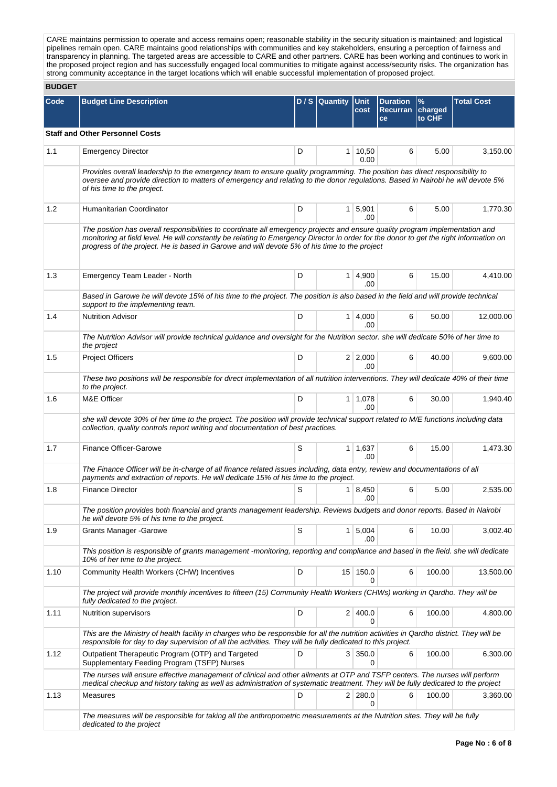CARE maintains permission to operate and access remains open; reasonable stability in the security situation is maintained; and logistical pipelines remain open. CARE maintains good relationships with communities and key stakeholders, ensuring a perception of fairness and transparency in planning. The targeted areas are accessible to CARE and other partners. CARE has been working and continues to work in the proposed project region and has successfully engaged local communities to mitigate against access/security risks. The organization has strong community acceptance in the target locations which will enable successful implementation of proposed project.

# **BUDGET**

| Code | <b>Budget Line Description</b>                                                                                                                                                                                                                                                                                                                                         |   | D/S Quantity | <b>Unit</b>                 | <b>Duration</b>        | $\frac{9}{6}$ | <b>Total Cost</b> |  |  |  |
|------|------------------------------------------------------------------------------------------------------------------------------------------------------------------------------------------------------------------------------------------------------------------------------------------------------------------------------------------------------------------------|---|--------------|-----------------------------|------------------------|---------------|-------------------|--|--|--|
|      |                                                                                                                                                                                                                                                                                                                                                                        |   |              | cost                        | Recurran charged<br>ce | to CHF        |                   |  |  |  |
|      | <b>Staff and Other Personnel Costs</b>                                                                                                                                                                                                                                                                                                                                 |   |              |                             |                        |               |                   |  |  |  |
| 1.1  | <b>Emergency Director</b>                                                                                                                                                                                                                                                                                                                                              | D |              | $1 \mid 10,50$<br>0.00      | 6                      | 5.00          | 3,150.00          |  |  |  |
|      | Provides overall leadership to the emergency team to ensure quality programming. The position has direct responsibility to<br>oversee and provide direction to matters of emergency and relating to the donor regulations. Based in Nairobi he will devote 5%<br>of his time to the project.                                                                           |   |              |                             |                        |               |                   |  |  |  |
| 1.2  | Humanitarian Coordinator                                                                                                                                                                                                                                                                                                                                               | D |              | $1 \mid 5,901$<br>.00       | 6                      | 5.00          | 1,770.30          |  |  |  |
|      | The position has overall responsibilities to coordinate all emergency projects and ensure quality program implementation and<br>monitoring at field level. He will constantly be relating to Emergency Director in order for the donor to get the right information on<br>progress of the project. He is based in Garowe and will devote 5% of his time to the project |   |              |                             |                        |               |                   |  |  |  |
| 1.3  | Emergency Team Leader - North                                                                                                                                                                                                                                                                                                                                          | D |              | $1 \, 4,900$<br>.00         | 6                      | 15.00         | 4,410.00          |  |  |  |
|      | Based in Garowe he will devote 15% of his time to the project. The position is also based in the field and will provide technical<br>support to the implementing team.                                                                                                                                                                                                 |   |              |                             |                        |               |                   |  |  |  |
| 1.4  | <b>Nutrition Advisor</b>                                                                                                                                                                                                                                                                                                                                               | D |              | $1 \mid 4,000$<br>.00       | 6                      | 50.00         | 12,000.00         |  |  |  |
|      | The Nutrition Advisor will provide technical guidance and oversight for the Nutrition sector. she will dedicate 50% of her time to<br>the project                                                                                                                                                                                                                      |   |              |                             |                        |               |                   |  |  |  |
| 1.5  | <b>Project Officers</b>                                                                                                                                                                                                                                                                                                                                                | D |              | $2 \mid 2,000$<br>.00       | 6                      | 40.00         | 9,600.00          |  |  |  |
|      | These two positions will be responsible for direct implementation of all nutrition interventions. They will dedicate 40% of their time<br>to the project.                                                                                                                                                                                                              |   |              |                             |                        |               |                   |  |  |  |
| 1.6  | M&E Officer                                                                                                                                                                                                                                                                                                                                                            | D |              | $1 \mid 1,078$<br>.00       | 6                      | 30.00         | 1,940.40          |  |  |  |
|      | she will devote 30% of her time to the project. The position will provide technical support related to M/E functions including data<br>collection, quality controls report writing and documentation of best practices.                                                                                                                                                |   |              |                             |                        |               |                   |  |  |  |
| 1.7  | Finance Officer-Garowe                                                                                                                                                                                                                                                                                                                                                 | S |              | $1 \mid 1,637$<br>.00       | 6                      | 15.00         | 1,473.30          |  |  |  |
|      | The Finance Officer will be in-charge of all finance related issues including, data entry, review and documentations of all<br>payments and extraction of reports. He will dedicate 15% of his time to the project.                                                                                                                                                    |   |              |                             |                        |               |                   |  |  |  |
| 1.8  | <b>Finance Director</b>                                                                                                                                                                                                                                                                                                                                                | S |              | $1 \mid 8,450$<br>.00       | 6                      | 5.00          | 2,535.00          |  |  |  |
|      | The position provides both financial and grants management leadership. Reviews budgets and donor reports. Based in Nairobi<br>he will devote 5% of his time to the project.                                                                                                                                                                                            |   |              |                             |                        |               |                   |  |  |  |
| 1.9  | <b>Grants Manager - Garowe</b>                                                                                                                                                                                                                                                                                                                                         | S |              | $1 \overline{5,004}$<br>.00 | 6                      | 10.00         | 3,002.40          |  |  |  |
|      | This position is responsible of grants management -monitoring, reporting and compliance and based in the field. she will dedicate<br>10% of her time to the project.                                                                                                                                                                                                   |   |              |                             |                        |               |                   |  |  |  |
| 1.10 | Community Health Workers (CHW) Incentives                                                                                                                                                                                                                                                                                                                              | D |              | 15 150.0<br>0               | 6                      | 100.00        | 13,500.00         |  |  |  |
|      | The project will provide monthly incentives to fifteen (15) Community Health Workers (CHWs) working in Qardho. They will be<br>fully dedicated to the project.                                                                                                                                                                                                         |   |              |                             |                        |               |                   |  |  |  |
| 1.11 | Nutrition supervisors                                                                                                                                                                                                                                                                                                                                                  | D |              | 2 400.0<br>$\Omega$         | 6                      | 100.00        | 4,800.00          |  |  |  |
|      | This are the Ministry of health facility in charges who be responsible for all the nutrition activities in Qardho district. They will be<br>responsible for day to day supervision of all the activities. They will be fully dedicated to this project.                                                                                                                |   |              |                             |                        |               |                   |  |  |  |
| 1.12 | Outpatient Therapeutic Program (OTP) and Targeted<br>Supplementary Feeding Program (TSFP) Nurses                                                                                                                                                                                                                                                                       | D |              | 3 350.0<br>0                | 6                      | 100.00        | 6,300.00          |  |  |  |
|      | The nurses will ensure effective management of clinical and other ailments at OTP and TSFP centers. The nurses will perform<br>medical checkup and history taking as well as administration of systematic treatment. They will be fully dedicated to the project                                                                                                       |   |              |                             |                        |               |                   |  |  |  |
| 1.13 | <b>Measures</b>                                                                                                                                                                                                                                                                                                                                                        | D |              | 2 280.0<br>0                | 6                      | 100.00        | 3,360.00          |  |  |  |
|      | The measures will be responsible for taking all the anthropometric measurements at the Nutrition sites. They will be fully<br>dedicated to the project                                                                                                                                                                                                                 |   |              |                             |                        |               |                   |  |  |  |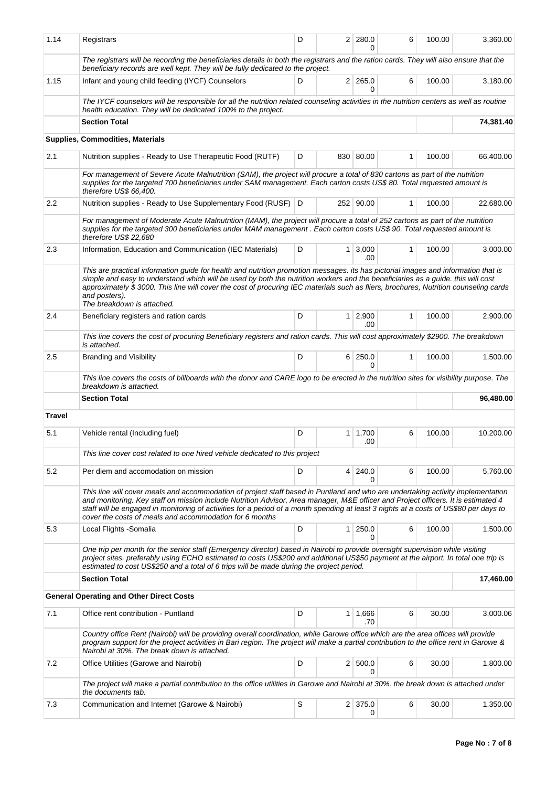| 1.14          | Registrars                                                                                                                                                                                                                                                                                                                                                                                                                                                               | D                                                                                                                                                                                                                                                                                                                                                               |                | 2 280.0<br>0        | 6            | 100.00 | 3,360.00  |  |  |
|---------------|--------------------------------------------------------------------------------------------------------------------------------------------------------------------------------------------------------------------------------------------------------------------------------------------------------------------------------------------------------------------------------------------------------------------------------------------------------------------------|-----------------------------------------------------------------------------------------------------------------------------------------------------------------------------------------------------------------------------------------------------------------------------------------------------------------------------------------------------------------|----------------|---------------------|--------------|--------|-----------|--|--|
|               | The registrars will be recording the beneficiaries details in both the registrars and the ration cards. They will also ensure that the<br>beneficiary records are well kept. They will be fully dedicated to the project.                                                                                                                                                                                                                                                |                                                                                                                                                                                                                                                                                                                                                                 |                |                     |              |        |           |  |  |
| 1.15          | Infant and young child feeding (IYCF) Counselors                                                                                                                                                                                                                                                                                                                                                                                                                         | D                                                                                                                                                                                                                                                                                                                                                               |                | $2 \mid 265.0$<br>0 | 6            | 100.00 | 3,180.00  |  |  |
|               | The IYCF counselors will be responsible for all the nutrition related counseling activities in the nutrition centers as well as routine<br>health education. They will be dedicated 100% to the project.                                                                                                                                                                                                                                                                 |                                                                                                                                                                                                                                                                                                                                                                 |                |                     |              |        |           |  |  |
|               | <b>Section Total</b>                                                                                                                                                                                                                                                                                                                                                                                                                                                     |                                                                                                                                                                                                                                                                                                                                                                 |                |                     |              |        | 74,381.40 |  |  |
|               | Supplies, Commodities, Materials                                                                                                                                                                                                                                                                                                                                                                                                                                         |                                                                                                                                                                                                                                                                                                                                                                 |                |                     |              |        |           |  |  |
| 2.1           | Nutrition supplies - Ready to Use Therapeutic Food (RUTF)                                                                                                                                                                                                                                                                                                                                                                                                                | D                                                                                                                                                                                                                                                                                                                                                               |                | 830 80.00           | 1            | 100.00 | 66,400.00 |  |  |
|               | For management of Severe Acute Malnutrition (SAM), the project will procure a total of 830 cartons as part of the nutrition<br>supplies for the targeted 700 beneficiaries under SAM management. Each carton costs US\$ 80. Total requested amount is<br>therefore US\$ 66,400.                                                                                                                                                                                          |                                                                                                                                                                                                                                                                                                                                                                 |                |                     |              |        |           |  |  |
| 2.2           | Nutrition supplies - Ready to Use Supplementary Food (RUSF) D                                                                                                                                                                                                                                                                                                                                                                                                            |                                                                                                                                                                                                                                                                                                                                                                 |                | 252 90.00           | $\mathbf{1}$ | 100.00 | 22,680.00 |  |  |
|               | For management of Moderate Acute Malnutrition (MAM), the project will procure a total of 252 cartons as part of the nutrition<br>supplies for the targeted 300 beneficiaries under MAM management. Each carton costs US\$ 90. Total requested amount is<br>therefore US\$ 22,680                                                                                                                                                                                         |                                                                                                                                                                                                                                                                                                                                                                 |                |                     |              |        |           |  |  |
| 2.3           | Information, Education and Communication (IEC Materials)                                                                                                                                                                                                                                                                                                                                                                                                                 | D                                                                                                                                                                                                                                                                                                                                                               | 1 <sup>1</sup> | 3,000<br>.00        | $\mathbf{1}$ | 100.00 | 3,000.00  |  |  |
|               | This are practical information guide for health and nutrition promotion messages. its has pictorial images and information that is<br>simple and easy to understand which will be used by both the nutrition workers and the beneficiaries as a guide, this will cost<br>approximately \$3000. This line will cover the cost of procuring IEC materials such as fliers, brochures, Nutrition counseling cards<br>and posters).<br>The breakdown is attached.             |                                                                                                                                                                                                                                                                                                                                                                 |                |                     |              |        |           |  |  |
| 2.4           | Beneficiary registers and ration cards                                                                                                                                                                                                                                                                                                                                                                                                                                   | D                                                                                                                                                                                                                                                                                                                                                               | $1 \square$    | 2,900<br>.00        | 1            | 100.00 | 2,900.00  |  |  |
|               | This line covers the cost of procuring Beneficiary registers and ration cards. This will cost approximately \$2900. The breakdown<br>is attached.                                                                                                                                                                                                                                                                                                                        |                                                                                                                                                                                                                                                                                                                                                                 |                |                     |              |        |           |  |  |
| 2.5           | <b>Branding and Visibility</b>                                                                                                                                                                                                                                                                                                                                                                                                                                           | D                                                                                                                                                                                                                                                                                                                                                               |                | 6 250.0<br>0        | $\mathbf{1}$ | 100.00 | 1,500.00  |  |  |
|               | This line covers the costs of billboards with the donor and CARE logo to be erected in the nutrition sites for visibility purpose. The<br>breakdown is attached.                                                                                                                                                                                                                                                                                                         |                                                                                                                                                                                                                                                                                                                                                                 |                |                     |              |        |           |  |  |
|               | <b>Section Total</b>                                                                                                                                                                                                                                                                                                                                                                                                                                                     |                                                                                                                                                                                                                                                                                                                                                                 |                |                     |              |        | 96,480.00 |  |  |
| <b>Travel</b> |                                                                                                                                                                                                                                                                                                                                                                                                                                                                          |                                                                                                                                                                                                                                                                                                                                                                 |                |                     |              |        |           |  |  |
| 5.1           | Vehicle rental (Including fuel)                                                                                                                                                                                                                                                                                                                                                                                                                                          | D                                                                                                                                                                                                                                                                                                                                                               |                | $1 \mid 1,700$      | 6            | 100.00 | 10,200.00 |  |  |
|               |                                                                                                                                                                                                                                                                                                                                                                                                                                                                          |                                                                                                                                                                                                                                                                                                                                                                 |                | .00                 |              |        |           |  |  |
|               | This line cover cost related to one hired vehicle dedicated to this project                                                                                                                                                                                                                                                                                                                                                                                              |                                                                                                                                                                                                                                                                                                                                                                 |                |                     |              |        |           |  |  |
| 5.2           | Per diem and accomodation on mission                                                                                                                                                                                                                                                                                                                                                                                                                                     | D                                                                                                                                                                                                                                                                                                                                                               |                | 4 240.0<br>0        | 6            | 100.00 | 5,760.00  |  |  |
|               | This line will cover meals and accommodation of project staff based in Puntland and who are undertaking activity implementation<br>and monitoring. Key staff on mission include Nutrition Advisor, Area manager, M&E officer and Project officers. It is estimated 4<br>staff will be engaged in monitoring of activities for a period of a month spending at least 3 nights at a costs of US\$80 per days to<br>cover the costs of meals and accommodation for 6 months |                                                                                                                                                                                                                                                                                                                                                                 |                |                     |              |        |           |  |  |
| 5.3           | Local Flights - Somalia                                                                                                                                                                                                                                                                                                                                                                                                                                                  | D                                                                                                                                                                                                                                                                                                                                                               | $\mathbf{1}$   | 250.0<br>0          | 6            | 100.00 | 1,500.00  |  |  |
|               |                                                                                                                                                                                                                                                                                                                                                                                                                                                                          | One trip per month for the senior staff (Emergency director) based in Nairobi to provide oversight supervision while visiting<br>project sites, preferably using ECHO estimated to costs US\$200 and additional US\$50 payment at the airport. In total one trip is<br>estimated to cost US\$250 and a total of 6 trips will be made during the project period. |                |                     |              |        |           |  |  |
|               | <b>Section Total</b>                                                                                                                                                                                                                                                                                                                                                                                                                                                     |                                                                                                                                                                                                                                                                                                                                                                 |                |                     |              |        | 17,460.00 |  |  |
|               | <b>General Operating and Other Direct Costs</b>                                                                                                                                                                                                                                                                                                                                                                                                                          |                                                                                                                                                                                                                                                                                                                                                                 |                |                     |              |        |           |  |  |
| 7.1           | Office rent contribution - Puntland                                                                                                                                                                                                                                                                                                                                                                                                                                      | D                                                                                                                                                                                                                                                                                                                                                               | 1              | 1,666<br>.70        | 6            | 30.00  | 3,000.06  |  |  |
|               | Country office Rent (Nairobi) will be providing overall coordination, while Garowe office which are the area offices will provide<br>program support for the project activities in Bari region. The project will make a partial contribution to the office rent in Garowe &<br>Nairobi at 30%. The break down is attached.                                                                                                                                               |                                                                                                                                                                                                                                                                                                                                                                 |                |                     |              |        |           |  |  |
| 7.2           | Office Utilities (Garowe and Nairobi)                                                                                                                                                                                                                                                                                                                                                                                                                                    | D                                                                                                                                                                                                                                                                                                                                                               |                | 2   500.0<br>0      | 6            | 30.00  | 1,800.00  |  |  |
|               | The project will make a partial contribution to the office utilities in Garowe and Nairobi at 30%. the break down is attached under                                                                                                                                                                                                                                                                                                                                      |                                                                                                                                                                                                                                                                                                                                                                 |                |                     |              |        |           |  |  |
| 7.3           | the documents tab.<br>Communication and Internet (Garowe & Nairobi)                                                                                                                                                                                                                                                                                                                                                                                                      | S                                                                                                                                                                                                                                                                                                                                                               |                | 2 375.0<br>0        | 6            | 30.00  | 1,350.00  |  |  |